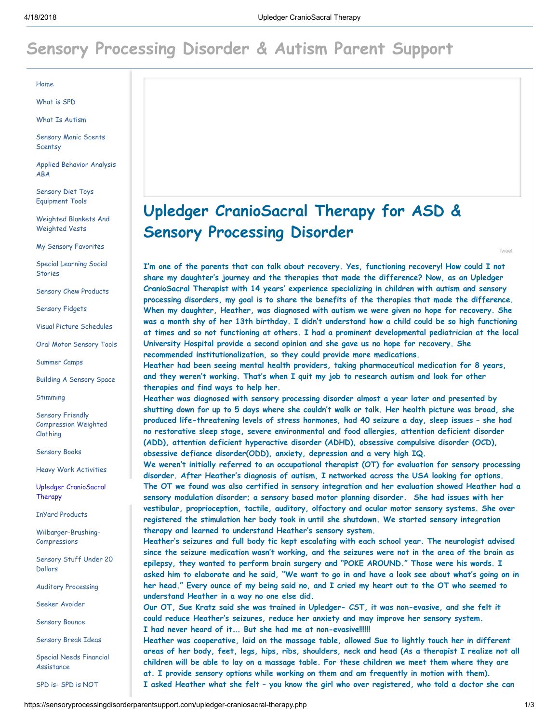## [Sensory Processing Disorder & Autism Parent Support](https://sensoryprocessingdisorderparentsupport.com/)

[Home](https://sensoryprocessingdisorderparentsupport.com/)

[What is SPD](https://sensoryprocessingdisorderparentsupport.com/what-is-spd.php)

[What Is Autism](https://sensoryprocessingdisorderparentsupport.com/what-is-autism.php)

[Sensory Manic Scents](https://sensoryprocessingdisorderparentsupport.com/sensory-manic-scents-scentsy.php) **Scentsy** 

[Applied Behavior Analysis](https://sensoryprocessingdisorderparentsupport.com/applied-behavior-analysis-aba.php) ABA

[Sensory Diet Toys](https://sensoryprocessingdisorderparentsupport.com/sensory-diet-toys-equipment-tools.php) Equipment Tools

[Weighted Blankets And](https://sensoryprocessingdisorderparentsupport.com/weighted-blankets-and-weighted-vests.php) Weighted Vests

[My Sensory Favorites](https://sensoryprocessingdisorderparentsupport.com/my-sensory-favorites.php)

[Special Learning Social](https://sensoryprocessingdisorderparentsupport.com/special-learning-social-stories.php) **Stories** 

[Sensory Chew Products](https://sensoryprocessingdisorderparentsupport.com/sensory-chew-products.php)

[Sensory Fidgets](https://sensoryprocessingdisorderparentsupport.com/sensory-fidgets.php)

[Visual Picture Schedules](https://sensoryprocessingdisorderparentsupport.com/visual-picture-schedules.php)

[Oral Motor Sensory Tools](https://sensoryprocessingdisorderparentsupport.com/oral-motor-sensory-tools.php)

[Summer Camps](https://sensoryprocessingdisorderparentsupport.com/summer-camps.php)

[Building A Sensory Space](https://sensoryprocessingdisorderparentsupport.com/building-a-sensory-space.php)

**[Stimming](https://sensoryprocessingdisorderparentsupport.com/stimming.php)** 

Sensory Friendly [Compression Weighted](https://sensoryprocessingdisorderparentsupport.com/sensory-friendly-compression-weighted-clothing.php) Clothing

[Sensory Books](https://sensoryprocessingdisorderparentsupport.com/books.php)

[Heavy Work Activities](https://sensoryprocessingdisorderparentsupport.com/heavy-work-activities.php)

[Upledger CranioSacral](https://sensoryprocessingdisorderparentsupport.com/upledger-craniosacral-therapy.php) Therapy

[InYard Products](https://sensoryprocessingdisorderparentsupport.com/inyard-products.php)

[Wilbarger-Brushing-](https://sensoryprocessingdisorderparentsupport.com/wilbarger-brushing-compressions.php)Compressions

[Sensory Stuff Under 20](https://sensoryprocessingdisorderparentsupport.com/sensory-stuff-under-20-dollars.php) Dollars

[Auditory Processing](https://sensoryprocessingdisorderparentsupport.com/auditory-processing.php)

[Seeker Avoider](https://sensoryprocessingdisorderparentsupport.com/seeker-avoider.php)

[Sensory Bounce](https://sensoryprocessingdisorderparentsupport.com/sensory-bounce.php)

[Sensory Break Ideas](https://sensoryprocessingdisorderparentsupport.com/sensory-break-ideas.php)

[Special Needs Financial](https://sensoryprocessingdisorderparentsupport.com/special-needs-financial-assistance.php) Assistance

[SPD is- SPD is NOT](https://sensoryprocessingdisorderparentsupport.com/spd-is--spd-is-not.php)

## Upledger CranioSacral Therapy for ASD & Sensory Processing Disorder

I'm one of the parents that can talk about recovery. Yes, functioning recovery! How could I not share my daughter's journey and the therapies that made the difference? Now, as an Upledger CranioSacral Therapist with 14 years' experience specializing in children with autism and sensory processing disorders, my goal is to share the benefits of the therapies that made the difference. When my daughter, Heather, was diagnosed with autism we were given no hope for recovery. She was a month shy of her 13th birthday. I didn't understand how a child could be so high functioning at times and so not functioning at others. I had a prominent developmental pediatrician at the local University Hospital provide a second opinion and she gave us no hope for recovery. She recommended institutionalization, so they could provide more medications.

Heather had been seeing mental health providers, taking pharmaceutical medication for 8 years, and they weren't working. That's when I quit my job to research autism and look for other therapies and find ways to help her.

Heather was diagnosed with sensory processing disorder almost a year later and presented by shutting down for up to 5 days where she couldn't walk or talk. Her health picture was broad, she produced life-threatening levels of stress hormones, had 40 seizure a day, sleep issues – she had no restorative sleep stage, severe environmental and food allergies, attention deficient disorder (ADD), attention deficient hyperactive disorder (ADHD), obsessive compulsive disorder (OCD), obsessive defiance disorder(ODD), anxiety, depression and a very high IQ.

We weren't initially referred to an occupational therapist (OT) for evaluation for sensory processing disorder. After Heather's diagnosis of autism, I networked across the USA looking for options. The OT we found was also certified in sensory integration and her evaluation showed Heather had a sensory modulation disorder; a sensory based motor planning disorder. She had issues with her vestibular, proprioception, tactile, auditory, olfactory and ocular motor sensory systems. She over registered the stimulation her body took in until she shutdown. We started sensory integration therapy and learned to understand Heather's sensory system.

Heather's seizures and full body tic kept escalating with each school year. The neurologist advised since the seizure medication wasn't working, and the seizures were not in the area of the brain as epilepsy, they wanted to perform brain surgery and "POKE AROUND." Those were his words. I asked him to elaborate and he said, "We want to go in and have a look see about what's going on in her head." Every ounce of my being said no, and I cried my heart out to the OT who seemed to understand Heather in a way no one else did.

Our OT, Sue Kratz said she was trained in Upledger- CST, it was non-evasive, and she felt it could reduce Heather's seizures, reduce her anxiety and may improve her sensory system. I had never heard of it…. But she had me at non-evasive!!!!!!

Heather was cooperative, laid on the massage table, allowed Sue to lightly touch her in different areas of her body, feet, legs, hips, ribs, shoulders, neck and head (As a therapist I realize not all children will be able to lay on a massage table. For these children we meet them where they are at. I provide sensory options while working on them and am frequently in motion with them). I asked Heather what she felt – you know the girl who over registered, who told a doctor she can

[Tweet](https://twitter.com/intent/tweet?original_referer=https%3A%2F%2Fsensoryprocessingdisorderparentsupport.com%2Fupledger-craniosacral-therapy.php&ref_src=twsrc%5Etfw&text=Upledger%20CranioSacral%20Therapy&tw_p=tweetbutton&url=https%3A%2F%2Fsensoryprocessingdisorderparentsupport.com%2Fupledger-craniosacral-therapy.php)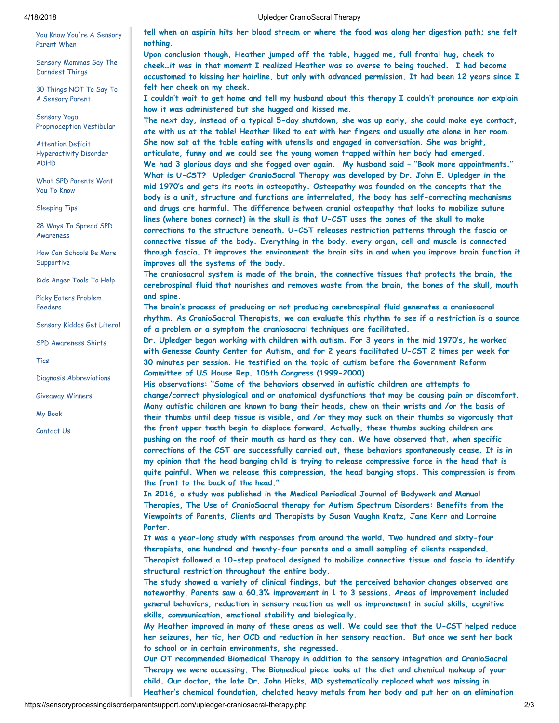[You Know You're A Sensory](https://sensoryprocessingdisorderparentsupport.com/you-know-youre-a-sensory-parent-when.php) Parent When

[Sensory Mommas Say The](https://sensoryprocessingdisorderparentsupport.com/sensory-mommas-say-the-darndest-things.php) Darndest Things

[30 Things NOT To Say To](https://sensoryprocessingdisorderparentsupport.com/30-things-not-to-say-to-a-sensory-parent.php) A Sensory Parent

Sensory Yoga [Proprioception Vestibular](https://sensoryprocessingdisorderparentsupport.com/sensory-yoga-proprioception-vestibular.php)

Attention Deficit [Hyperactivity Disorder](https://sensoryprocessingdisorderparentsupport.com/attention-deficit-hyperactivity-disorder-adhd.php) ADHD

[What SPD Parents Want](https://sensoryprocessingdisorderparentsupport.com/what-spd-parents-want-you-to-know.php) You To Know

[Sleeping Tips](https://sensoryprocessingdisorderparentsupport.com/sleeping-tips.php)

[28 Ways To Spread SPD](https://sensoryprocessingdisorderparentsupport.com/28-ways-to-spread-spd-awareness.php) Awareness

[How Can Schools Be More](https://sensoryprocessingdisorderparentsupport.com/how-can-school-be-more-supportive.php) **Supportive** 

[Kids Anger Tools To Help](https://sensoryprocessingdisorderparentsupport.com/kids-anger-tools-to-help.php)

[Picky Eaters Problem](https://sensoryprocessingdisorderparentsupport.com/picky-eaters-problem-feeders.php) Feeders

[Sensory Kiddos Get Literal](https://sensoryprocessingdisorderparentsupport.com/sensory-kiddos-get-literal.php)

[SPD Awareness Shirts](https://sensoryprocessingdisorderparentsupport.com/spd-awareness-shirts.php)

[Tics](https://sensoryprocessingdisorderparentsupport.com/tics.php)

[Diagnosis Abbreviations](https://sensoryprocessingdisorderparentsupport.com/diagnosis-abbreviations.php)

[Giveaway Winners](https://sensoryprocessingdisorderparentsupport.com/giveaway-winners.php)

[My Book](https://sensoryprocessingdisorderparentsupport.com/my-book.php)

[Contact Us](https://sensoryprocessingdisorderparentsupport.com/contact-us.php)

4/18/2018 Upledger CranioSacral Therapy

tell when an aspirin hits her blood stream or where the food was along her digestion path; she felt nothing.

Upon conclusion though, Heather jumped off the table, hugged me, full frontal hug, cheek to cheek…it was in that moment I realized Heather was so averse to being touched. I had become accustomed to kissing her hairline, but only with advanced permission. It had been 12 years since I felt her cheek on my cheek.

I couldn't wait to get home and tell my husband about this therapy I couldn't pronounce nor explain how it was administered but she hugged and kissed me.

The next day, instead of a typical 5-day shutdown, she was up early, she could make eye contact, ate with us at the table! Heather liked to eat with her fingers and usually ate alone in her room. She now sat at the table eating with utensils and engaged in conversation. She was bright, articulate, funny and we could see the young women trapped within her body had emerged. We had 3 glorious days and she fogged over again. My husband said – "Book more appointments." What is U-CST? Upledger CranioSacral Therapy was developed by Dr. John E. Upledger in the mid 1970's and gets its roots in osteopathy. Osteopathy was founded on the concepts that the body is a unit, structure and functions are interrelated, the body has self-correcting mechanisms and drugs are harmful. The difference between cranial osteopathy that looks to mobilize suture lines (where bones connect) in the skull is that U-CST uses the bones of the skull to make corrections to the structure beneath. U-CST releases restriction patterns through the fascia or connective tissue of the body. Everything in the body, every organ, cell and muscle is connected through fascia. It improves the environment the brain sits in and when you improve brain function it improves all the systems of the body.

The craniosacral system is made of the brain, the connective tissues that protects the brain, the cerebrospinal fluid that nourishes and removes waste from the brain, the bones of the skull, mouth and spine.

The brain's process of producing or not producing cerebrospinal fluid generates a craniosacral rhythm. As CranioSacral Therapists, we can evaluate this rhythm to see if a restriction is a source of a problem or a symptom the craniosacral techniques are facilitated.

Dr. Upledger began working with children with autism. For 3 years in the mid 1970's, he worked with Genesse County Center for Autism, and for 2 years facilitated U-CST 2 times per week for 30 minutes per session. He testified on the topic of autism before the Government Reform Committee of US House Rep. 106th Congress (1999-2000)

His observations: "Some of the behaviors observed in autistic children are attempts to change/correct physiological and or anatomical dysfunctions that may be causing pain or discomfort. Many autistic children are known to bang their heads, chew on their wrists and /or the basis of their thumbs until deep tissue is visible, and /or they may suck on their thumbs so vigorously that the front upper teeth begin to displace forward. Actually, these thumbs sucking children are pushing on the roof of their mouth as hard as they can. We have observed that, when specific corrections of the CST are successfully carried out, these behaviors spontaneously cease. It is in my opinion that the head banging child is trying to release compressive force in the head that is quite painful. When we release this compression, the head banging stops. This compression is from the front to the back of the head."

In 2016, a study was published in the Medical Periodical Journal of Bodywork and Manual Therapies, The Use of CranioSacral therapy for Autism Spectrum Disorders: Benefits from the Viewpoints of Parents, Clients and Therapists by Susan Vaughn Kratz, Jane Kerr and Lorraine Porter.

It was a year-long study with responses from around the world. Two hundred and sixty-four therapists, one hundred and twenty-four parents and a small sampling of clients responded. Therapist followed a 10-step protocol designed to mobilize connective tissue and fascia to identify structural restriction throughout the entire body.

The study showed a variety of clinical findings, but the perceived behavior changes observed are noteworthy. Parents saw a 60.3% improvement in 1 to 3 sessions. Areas of improvement included general behaviors, reduction in sensory reaction as well as improvement in social skills, cognitive skills, communication, emotional stability and biologically.

My Heather improved in many of these areas as well. We could see that the U-CST helped reduce her seizures, her tic, her OCD and reduction in her sensory reaction. But once we sent her back to school or in certain environments, she regressed.

Our OT recommended Biomedical Therapy in addition to the sensory integration and CranioSacral Therapy we were accessing. The Biomedical piece looks at the diet and chemical makeup of your child. Our doctor, the late Dr. John Hicks, MD systematically replaced what was missing in Heather's chemical foundation, chelated heavy metals from her body and put her on an elimination